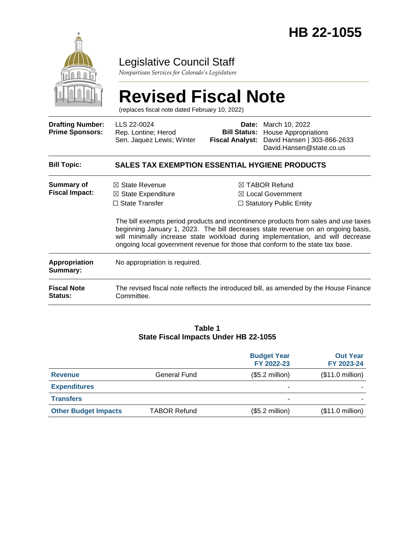

# Legislative Council Staff

*Nonpartisan Services for Colorado's Legislature*

# **Revised Fiscal Note**

(replaces fiscal note dated February 10, 2022)

| <b>Drafting Number:</b><br><b>Prime Sponsors:</b> | LLS 22-0024<br>Rep. Lontine; Herod<br>Sen. Jaquez Lewis; Winter                     | <b>Fiscal Analyst:</b> | <b>Date:</b> March 10, 2022<br><b>Bill Status:</b> House Appropriations<br>David Hansen   303-866-2633<br>David.Hansen@state.co.us                                                                                                                                                                                                                                                                                                         |
|---------------------------------------------------|-------------------------------------------------------------------------------------|------------------------|--------------------------------------------------------------------------------------------------------------------------------------------------------------------------------------------------------------------------------------------------------------------------------------------------------------------------------------------------------------------------------------------------------------------------------------------|
| <b>Bill Topic:</b>                                | <b>SALES TAX EXEMPTION ESSENTIAL HYGIENE PRODUCTS</b>                               |                        |                                                                                                                                                                                                                                                                                                                                                                                                                                            |
| <b>Summary of</b><br><b>Fiscal Impact:</b>        | $\boxtimes$ State Revenue<br>$\boxtimes$ State Expenditure<br>$\Box$ State Transfer |                        | $\boxtimes$ TABOR Refund<br>$\boxtimes$ Local Government<br>$\Box$ Statutory Public Entity<br>The bill exempts period products and incontinence products from sales and use taxes<br>beginning January 1, 2023. The bill decreases state revenue on an ongoing basis,<br>will minimally increase state workload during implementation, and will decrease<br>ongoing local government revenue for those that conform to the state tax base. |
| Appropriation<br>Summary:                         | No appropriation is required.                                                       |                        |                                                                                                                                                                                                                                                                                                                                                                                                                                            |
| <b>Fiscal Note</b><br><b>Status:</b>              | Committee.                                                                          |                        | The revised fiscal note reflects the introduced bill, as amended by the House Finance                                                                                                                                                                                                                                                                                                                                                      |

#### **Table 1 State Fiscal Impacts Under HB 22-1055**

|                             |                     | <b>Budget Year</b><br>FY 2022-23 | <b>Out Year</b><br>FY 2023-24 |
|-----------------------------|---------------------|----------------------------------|-------------------------------|
| <b>Revenue</b>              | General Fund        | $($5.2$ million)                 | (\$11.0 million)              |
| <b>Expenditures</b>         |                     | ۰                                |                               |
| <b>Transfers</b>            |                     | ۰                                |                               |
| <b>Other Budget Impacts</b> | <b>TABOR Refund</b> | $($5.2$ million)                 | (\$11.0 million)              |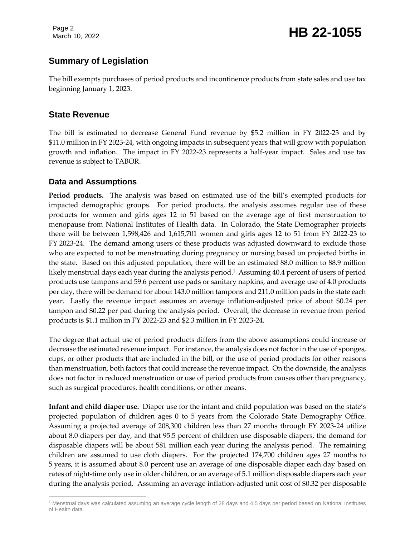Page 2

# Page 2<br>March 10, 2022 **HB 22-1055**

# **Summary of Legislation**

The bill exempts purchases of period products and incontinence products from state sales and use tax beginning January 1, 2023.

#### **State Revenue**

The bill is estimated to decrease General Fund revenue by \$5.2 million in FY 2022-23 and by \$11.0 million in FY 2023-24, with ongoing impacts in subsequent years that will grow with population growth and inflation. The impact in FY 2022-23 represents a half-year impact. Sales and use tax revenue is subject to TABOR.

#### **Data and Assumptions**

**Period products.** The analysis was based on estimated use of the bill's exempted products for impacted demographic groups. For period products, the analysis assumes regular use of these products for women and girls ages 12 to 51 based on the average age of first menstruation to menopause from National Institutes of Health data. In Colorado, the State Demographer projects there will be between 1,598,426 and 1,615,701 women and girls ages 12 to 51 from FY 2022-23 to FY 2023-24. The demand among users of these products was adjusted downward to exclude those who are expected to not be menstruating during pregnancy or nursing based on projected births in the state. Based on this adjusted population, there will be an estimated 88.0 million to 88.9 million likely menstrual days each year during the analysis period. $^{\rm 1}$  Assuming 40.4 percent of users of period products use tampons and 59.6 percent use pads or sanitary napkins, and average use of 4.0 products per day, there will be demand for about 143.0 million tampons and 211.0 million pads in the state each year. Lastly the revenue impact assumes an average inflation-adjusted price of about \$0.24 per tampon and \$0.22 per pad during the analysis period. Overall, the decrease in revenue from period products is \$1.1 million in FY 2022-23 and \$2.3 million in FY 2023-24.

The degree that actual use of period products differs from the above assumptions could increase or decrease the estimated revenue impact. For instance, the analysis does not factor in the use of sponges, cups, or other products that are included in the bill, or the use of period products for other reasons than menstruation, both factors that could increase the revenue impact. On the downside, the analysis does not factor in reduced menstruation or use of period products from causes other than pregnancy, such as surgical procedures, health conditions, or other means.

**Infant and child diaper use.** Diaper use for the infant and child population was based on the state's projected population of children ages 0 to 5 years from the Colorado State Demography Office. Assuming a projected average of 208,300 children less than 27 months through FY 2023-24 utilize about 8.0 diapers per day, and that 95.5 percent of children use disposable diapers, the demand for disposable diapers will be about 581 million each year during the analysis period. The remaining children are assumed to use cloth diapers. For the projected 174,700 children ages 27 months to 5 years, it is assumed about 8.0 percent use an average of one disposable diaper each day based on rates of night-time only use in older children, or an average of 5.1 million disposable diapers each year during the analysis period. Assuming an average inflation-adjusted unit cost of \$0.32 per disposable

 $\overline{a}$ <sup>1</sup> Menstrual days was calculated assuming an average cycle length of 28 days and 4.5 days per period based on National Institutes of Health data.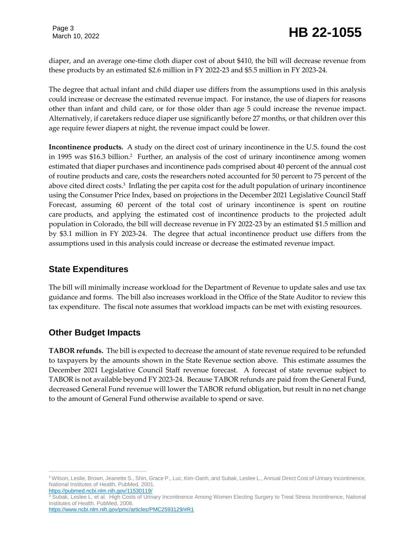Page 3

diaper, and an average one-time cloth diaper cost of about \$410, the bill will decrease revenue from these products by an estimated \$2.6 million in FY 2022-23 and \$5.5 million in FY 2023-24.

The degree that actual infant and child diaper use differs from the assumptions used in this analysis could increase or decrease the estimated revenue impact. For instance, the use of diapers for reasons other than infant and child care, or for those older than age 5 could increase the revenue impact. Alternatively, if caretakers reduce diaper use significantly before 27 months, or that children over this age require fewer diapers at night, the revenue impact could be lower.

**Incontinence products.** A study on the direct cost of urinary incontinence in the U.S. found the cost in 1995 was \$16.3 billion.<sup>2</sup> Further, an analysis of the cost of urinary incontinence among women estimated that diaper purchases and incontinence pads comprised about 40 percent of the annual cost of routine products and care, costs the researchers noted accounted for 50 percent to 75 percent of the above cited direct costs.<sup>3</sup> Inflating the per capita cost for the adult population of urinary incontinence using the Consumer Price Index, based on projections in the December 2021 Legislative Council Staff Forecast, assuming 60 percent of the total cost of urinary incontinence is spent on routine care products, and applying the estimated cost of incontinence products to the projected adult population in Colorado, the bill will decrease revenue in FY 2022-23 by an estimated \$1.5 million and by \$3.1 million in FY 2023-24. The degree that actual incontinence product use differs from the assumptions used in this analysis could increase or decrease the estimated revenue impact.

#### **State Expenditures**

The bill will minimally increase workload for the Department of Revenue to update sales and use tax guidance and forms. The bill also increases workload in the Office of the State Auditor to review this tax expenditure. The fiscal note assumes that workload impacts can be met with existing resources.

# **Other Budget Impacts**

**TABOR refunds.** The bill is expected to decrease the amount of state revenue required to be refunded to taxpayers by the amounts shown in the State Revenue section above. This estimate assumes the December 2021 Legislative Council Staff revenue forecast. A forecast of state revenue subject to TABOR is not available beyond FY 2023-24. Because TABOR refunds are paid from the General Fund, decreased General Fund revenue will lower the TABOR refund obligation, but result in no net change to the amount of General Fund otherwise available to spend or save.

 $\overline{a}$ <sup>2</sup> Wilson, Leslie, Brown, Jeanette S., Shin, Grace P., Luc, Kim-Oanh, and Subak, Leslee L., Annual Direct Cost of Urinary Incontinence, National Institutes of Health, PubMed, 2001. <https://pubmed.ncbi.nlm.nih.gov/11530119/>

<sup>&</sup>lt;sup>3</sup> Subak, Leslee L. et al. High Costs of Urinary Incontinence Among Women Electing Surgery to Treat Stress Incontinence, National Institutes of Health, PubMed, 2008.

<https://www.ncbi.nlm.nih.gov/pmc/articles/PMC2593129/#R1>